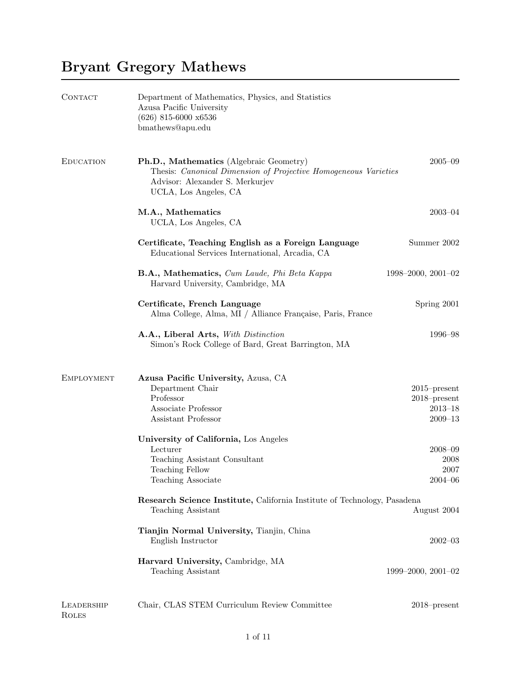## Bryant Gregory Mathews

| CONTACT                    | Department of Mathematics, Physics, and Statistics<br>Azusa Pacific University<br>$(626)$ 815-6000 x6536<br>bmathews@apu.edu                                           |                                                                  |
|----------------------------|------------------------------------------------------------------------------------------------------------------------------------------------------------------------|------------------------------------------------------------------|
| <b>EDUCATION</b>           | Ph.D., Mathematics (Algebraic Geometry)<br>Thesis: Canonical Dimension of Projective Homogeneous Varieties<br>Advisor: Alexander S. Merkurjev<br>UCLA, Los Angeles, CA | $2005 - 09$                                                      |
|                            | M.A., Mathematics<br>UCLA, Los Angeles, CA                                                                                                                             | $2003 - 04$                                                      |
|                            | Certificate, Teaching English as a Foreign Language<br>Educational Services International, Arcadia, CA                                                                 | Summer 2002                                                      |
|                            | B.A., Mathematics, Cum Laude, Phi Beta Kappa<br>Harvard University, Cambridge, MA                                                                                      | $1998 - 2000, 2001 - 02$                                         |
|                            | Certificate, French Language<br>Alma College, Alma, MI / Alliance Française, Paris, France                                                                             | Spring 2001                                                      |
|                            | A.A., Liberal Arts, With Distinction<br>Simon's Rock College of Bard, Great Barrington, MA                                                                             | 1996–98                                                          |
| <b>EMPLOYMENT</b>          | Azusa Pacific University, Azusa, CA<br>Department Chair<br>Professor<br>Associate Professor<br>Assistant Professor                                                     | $2015$ -present<br>$2018$ -present<br>$2013 - 18$<br>$2009 - 13$ |
|                            | University of California, Los Angeles<br>Lecturer<br>Teaching Assistant Consultant<br>Teaching Fellow<br>Teaching Associate                                            | $2008 - 09$<br>2008<br>2007<br>$2004 - 06$                       |
|                            | Research Science Institute, California Institute of Technology, Pasadena<br>Teaching Assistant                                                                         | August 2004                                                      |
|                            | Tianjin Normal University, Tianjin, China<br>English Instructor                                                                                                        | $2002 - 03$                                                      |
|                            | Harvard University, Cambridge, MA<br>Teaching Assistant                                                                                                                | $1999 - 2000, 2001 - 02$                                         |
| LEADERSHIP<br><b>ROLES</b> | Chair, CLAS STEM Curriculum Review Committee                                                                                                                           | $2018$ -present                                                  |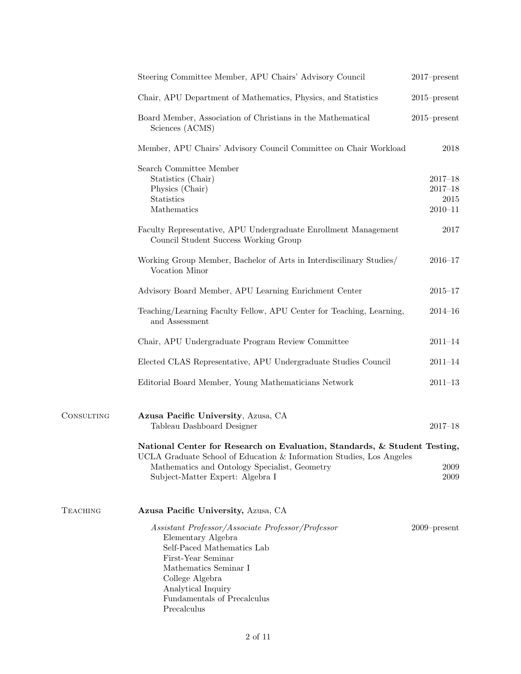|                 | Steering Committee Member, APU Chairs' Advisory Council                                                                                                                                                                                     | $2017$ -present                                   |
|-----------------|---------------------------------------------------------------------------------------------------------------------------------------------------------------------------------------------------------------------------------------------|---------------------------------------------------|
|                 | Chair, APU Department of Mathematics, Physics, and Statistics                                                                                                                                                                               | $2015$ -present                                   |
|                 | Board Member, Association of Christians in the Mathematical<br>Sciences (ACMS)                                                                                                                                                              | $2015$ -present                                   |
|                 | Member, APU Chairs' Advisory Council Committee on Chair Workload                                                                                                                                                                            | 2018                                              |
|                 | Search Committee Member<br>Statistics (Chair)<br>Physics (Chair)<br>Statistics<br>Mathematics                                                                                                                                               | $2017 - 18$<br>$2017 - 18$<br>2015<br>$2010 - 11$ |
|                 | Faculty Representative, APU Undergraduate Enrollment Management<br>Council Student Success Working Group                                                                                                                                    | 2017                                              |
|                 | Working Group Member, Bachelor of Arts in Interdiscilinary Studies/<br>Vocation Minor                                                                                                                                                       | $2016 - 17$                                       |
|                 | Advisory Board Member, APU Learning Enrichment Center                                                                                                                                                                                       | $2015 - 17$                                       |
|                 | Teaching/Learning Faculty Fellow, APU Center for Teaching, Learning,<br>and Assessment                                                                                                                                                      | $2014 - 16$                                       |
|                 | Chair, APU Undergraduate Program Review Committee                                                                                                                                                                                           | $2011 - 14$                                       |
|                 | Elected CLAS Representative, APU Undergraduate Studies Council                                                                                                                                                                              | $2011 - 14$                                       |
|                 | Editorial Board Member, Young Mathematicians Network                                                                                                                                                                                        | $2011 - 13$                                       |
| CONSULTING      | Azusa Pacific University, Azusa, CA<br>Tableau Dashboard Designer                                                                                                                                                                           | $2017 - 18$                                       |
|                 | National Center for Research on Evaluation, Standards, & Student Testing,<br>UCLA Graduate School of Education & Information Studies, Los Angeles<br>Mathematics and Ontology Specialist, Geometry<br>Subject-Matter Expert: Algebra I      | 2009<br>2009                                      |
| <b>TEACHING</b> | Azusa Pacific University, Azusa, CA                                                                                                                                                                                                         |                                                   |
|                 | Assistant Professor/Associate Professor/Professor<br>Elementary Algebra<br>Self-Paced Mathematics Lab<br>First-Year Seminar<br>Mathematics Seminar I<br>College Algebra<br>Analytical Inquiry<br>Fundamentals of Precalculus<br>Precalculus | $2009$ -present                                   |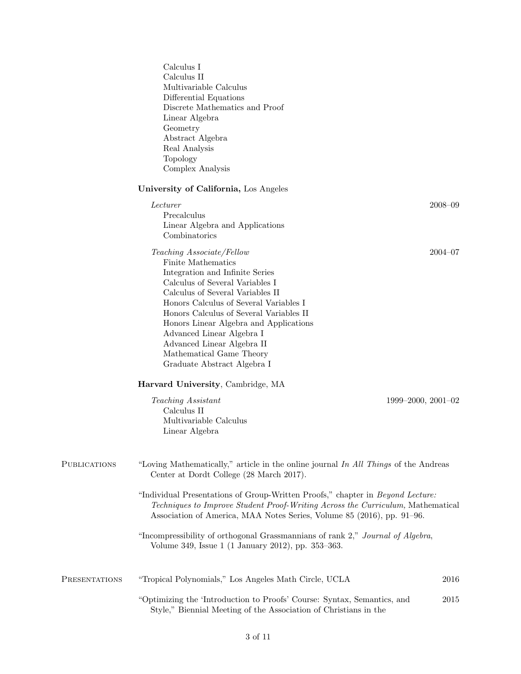|                      | Calculus I<br>Calculus II<br>Multivariable Calculus<br>Differential Equations<br>Discrete Mathematics and Proof<br>Linear Algebra<br>Geometry<br>Abstract Algebra<br>Real Analysis<br>Topology<br>Complex Analysis                                                                                                                                                                                             |             |
|----------------------|----------------------------------------------------------------------------------------------------------------------------------------------------------------------------------------------------------------------------------------------------------------------------------------------------------------------------------------------------------------------------------------------------------------|-------------|
|                      | University of California, Los Angeles                                                                                                                                                                                                                                                                                                                                                                          |             |
|                      | Lecturer<br>Precalculus<br>Linear Algebra and Applications<br>Combinatorics                                                                                                                                                                                                                                                                                                                                    | $2008 - 09$ |
|                      | Teaching Associate/Fellow<br>Finite Mathematics<br>Integration and Infinite Series<br>Calculus of Several Variables I<br>Calculus of Several Variables II<br>Honors Calculus of Several Variables I<br>Honors Calculus of Several Variables II<br>Honors Linear Algebra and Applications<br>Advanced Linear Algebra I<br>Advanced Linear Algebra II<br>Mathematical Game Theory<br>Graduate Abstract Algebra I | $2004 - 07$ |
|                      | Harvard University, Cambridge, MA                                                                                                                                                                                                                                                                                                                                                                              |             |
|                      | Teaching Assistant<br>$1999 - 2000, 2001 - 02$<br>Calculus II<br>Multivariable Calculus<br>Linear Algebra                                                                                                                                                                                                                                                                                                      |             |
| <b>PUBLICATIONS</b>  | "Loving Mathematically," article in the online journal In All Things of the Andreas<br>Center at Dordt College (28 March 2017).                                                                                                                                                                                                                                                                                |             |
|                      | "Individual Presentations of Group-Written Proofs," chapter in <i>Beyond Lecture:</i><br>Techniques to Improve Student Proof-Writing Across the Curriculum, Mathematical<br>Association of America, MAA Notes Series, Volume 85 (2016), pp. 91-96.                                                                                                                                                             |             |
|                      | "Incompressibility of orthogonal Grassmannians of rank 2," Journal of Algebra,<br>Volume 349, Issue 1 (1 January 2012), pp. 353-363.                                                                                                                                                                                                                                                                           |             |
| <b>PRESENTATIONS</b> | "Tropical Polynomials," Los Angeles Math Circle, UCLA                                                                                                                                                                                                                                                                                                                                                          | 2016        |
|                      | "Optimizing the 'Introduction to Proofs' Course: Syntax, Semantics, and<br>Style," Biennial Meeting of the Association of Christians in the                                                                                                                                                                                                                                                                    | 2015        |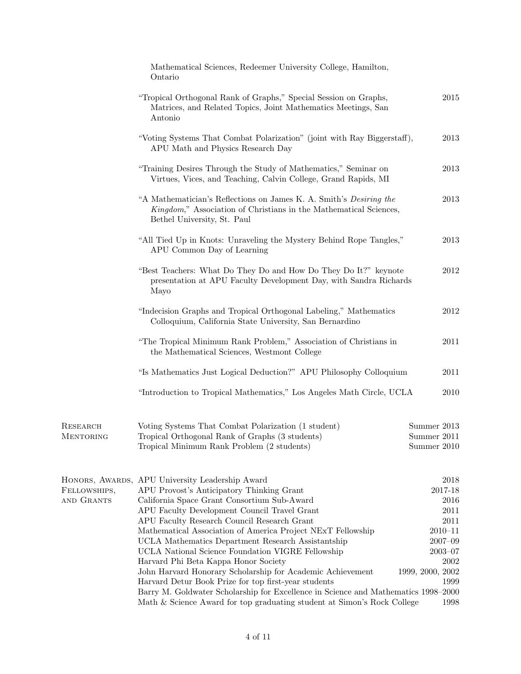|                              | Mathematical Sciences, Redeemer University College, Hamilton,<br>Ontario                                                                                                                                                                                                                                                                                                                                                                                                                                                                                                                                                                                                                                                                            |                                                                                                                                  |
|------------------------------|-----------------------------------------------------------------------------------------------------------------------------------------------------------------------------------------------------------------------------------------------------------------------------------------------------------------------------------------------------------------------------------------------------------------------------------------------------------------------------------------------------------------------------------------------------------------------------------------------------------------------------------------------------------------------------------------------------------------------------------------------------|----------------------------------------------------------------------------------------------------------------------------------|
|                              | "Tropical Orthogonal Rank of Graphs," Special Session on Graphs,<br>Matrices, and Related Topics, Joint Mathematics Meetings, San<br>Antonio                                                                                                                                                                                                                                                                                                                                                                                                                                                                                                                                                                                                        | 2015                                                                                                                             |
|                              | "Voting Systems That Combat Polarization" (joint with Ray Biggerstaff),<br>APU Math and Physics Research Day                                                                                                                                                                                                                                                                                                                                                                                                                                                                                                                                                                                                                                        | 2013                                                                                                                             |
|                              | "Training Desires Through the Study of Mathematics," Seminar on<br>Virtues, Vices, and Teaching, Calvin College, Grand Rapids, MI                                                                                                                                                                                                                                                                                                                                                                                                                                                                                                                                                                                                                   | 2013                                                                                                                             |
|                              | "A Mathematician's Reflections on James K. A. Smith's <i>Desiring the</i><br>Kingdom," Association of Christians in the Mathematical Sciences,<br>Bethel University, St. Paul                                                                                                                                                                                                                                                                                                                                                                                                                                                                                                                                                                       | 2013                                                                                                                             |
|                              | "All Tied Up in Knots: Unraveling the Mystery Behind Rope Tangles,"<br>APU Common Day of Learning                                                                                                                                                                                                                                                                                                                                                                                                                                                                                                                                                                                                                                                   | 2013                                                                                                                             |
|                              | "Best Teachers: What Do They Do and How Do They Do It?" keynote<br>presentation at APU Faculty Development Day, with Sandra Richards<br>Mayo                                                                                                                                                                                                                                                                                                                                                                                                                                                                                                                                                                                                        | 2012                                                                                                                             |
|                              | "Indecision Graphs and Tropical Orthogonal Labeling," Mathematics<br>Colloquium, California State University, San Bernardino                                                                                                                                                                                                                                                                                                                                                                                                                                                                                                                                                                                                                        | 2012                                                                                                                             |
|                              | "The Tropical Minimum Rank Problem," Association of Christians in<br>the Mathematical Sciences, Westmont College                                                                                                                                                                                                                                                                                                                                                                                                                                                                                                                                                                                                                                    | 2011                                                                                                                             |
|                              | "Is Mathematics Just Logical Deduction?" APU Philosophy Colloquium                                                                                                                                                                                                                                                                                                                                                                                                                                                                                                                                                                                                                                                                                  | 2011                                                                                                                             |
|                              | "Introduction to Tropical Mathematics," Los Angeles Math Circle, UCLA                                                                                                                                                                                                                                                                                                                                                                                                                                                                                                                                                                                                                                                                               | 2010                                                                                                                             |
| RESEARCH<br><b>MENTORING</b> | Voting Systems That Combat Polarization (1 student)<br>Tropical Orthogonal Rank of Graphs (3 students)<br>Tropical Minimum Rank Problem (2 students)                                                                                                                                                                                                                                                                                                                                                                                                                                                                                                                                                                                                | Summer 2013<br>Summer 2011<br>Summer 2010                                                                                        |
| FELLOWSHIPS,<br>AND GRANTS   | HONORS, AWARDS, APU University Leadership Award<br>APU Provost's Anticipatory Thinking Grant<br>California Space Grant Consortium Sub-Award<br>APU Faculty Development Council Travel Grant<br>APU Faculty Research Council Research Grant<br>Mathematical Association of America Project NExT Fellowship<br>UCLA Mathematics Department Research Assistantship<br>UCLA National Science Foundation VIGRE Fellowship<br>Harvard Phi Beta Kappa Honor Society<br>John Harvard Honorary Scholarship for Academic Achievement<br>Harvard Detur Book Prize for top first-year students<br>Barry M. Goldwater Scholarship for Excellence in Science and Mathematics 1998–2000<br>Math & Science Award for top graduating student at Simon's Rock College | 2018<br>2017-18<br>2016<br>2011<br>2011<br>$2010 - 11$<br>$2007 - 09$<br>$2003 - 07$<br>2002<br>1999, 2000, 2002<br>1999<br>1998 |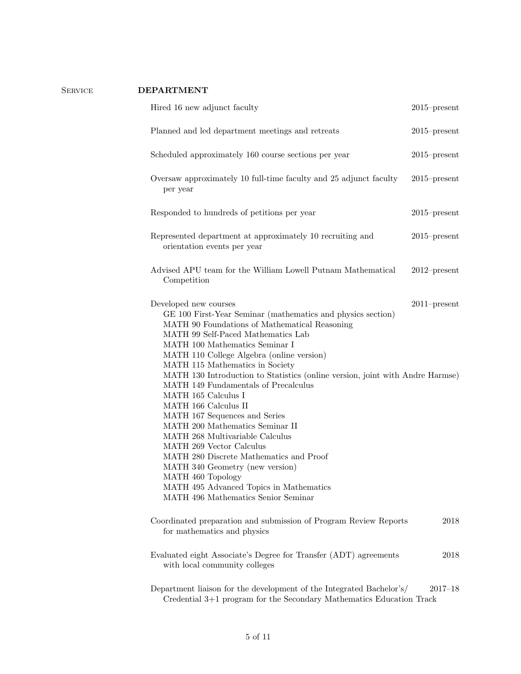| <b>SERVICE</b> | <b>DEPARTMENT</b>                                                                                                                                                                                                                                                                                                                                                                                                                                                                                                                                                                                                                                                                                                                                                                             |                 |
|----------------|-----------------------------------------------------------------------------------------------------------------------------------------------------------------------------------------------------------------------------------------------------------------------------------------------------------------------------------------------------------------------------------------------------------------------------------------------------------------------------------------------------------------------------------------------------------------------------------------------------------------------------------------------------------------------------------------------------------------------------------------------------------------------------------------------|-----------------|
|                | Hired 16 new adjunct faculty                                                                                                                                                                                                                                                                                                                                                                                                                                                                                                                                                                                                                                                                                                                                                                  | $2015$ -present |
|                | Planned and led department meetings and retreats                                                                                                                                                                                                                                                                                                                                                                                                                                                                                                                                                                                                                                                                                                                                              | $2015$ -present |
|                | Scheduled approximately 160 course sections per year                                                                                                                                                                                                                                                                                                                                                                                                                                                                                                                                                                                                                                                                                                                                          | $2015$ -present |
|                | Oversaw approximately 10 full-time faculty and 25 adjunct faculty<br>per year                                                                                                                                                                                                                                                                                                                                                                                                                                                                                                                                                                                                                                                                                                                 | $2015$ -present |
|                | Responded to hundreds of petitions per year                                                                                                                                                                                                                                                                                                                                                                                                                                                                                                                                                                                                                                                                                                                                                   | $2015$ -present |
|                | Represented department at approximately 10 recruiting and<br>orientation events per year                                                                                                                                                                                                                                                                                                                                                                                                                                                                                                                                                                                                                                                                                                      | $2015$ -present |
|                | Advised APU team for the William Lowell Putnam Mathematical<br>Competition                                                                                                                                                                                                                                                                                                                                                                                                                                                                                                                                                                                                                                                                                                                    | $2012$ -present |
|                | Developed new courses<br>GE 100 First-Year Seminar (mathematics and physics section)<br>MATH 90 Foundations of Mathematical Reasoning<br>MATH 99 Self-Paced Mathematics Lab<br>MATH 100 Mathematics Seminar I<br>MATH 110 College Algebra (online version)<br>MATH 115 Mathematics in Society<br>MATH 130 Introduction to Statistics (online version, joint with Andre Harmse)<br>MATH 149 Fundamentals of Precalculus<br>MATH 165 Calculus I<br>MATH 166 Calculus II<br>MATH 167 Sequences and Series<br>MATH 200 Mathematics Seminar II<br>MATH 268 Multivariable Calculus<br>MATH 269 Vector Calculus<br>MATH 280 Discrete Mathematics and Proof<br>MATH 340 Geometry (new version)<br>MATH 460 Topology<br>MATH 495 Advanced Topics in Mathematics<br>MATH 496 Mathematics Senior Seminar | $2011$ -present |
|                | Coordinated preparation and submission of Program Review Reports<br>for mathematics and physics                                                                                                                                                                                                                                                                                                                                                                                                                                                                                                                                                                                                                                                                                               | 2018            |
|                | Evaluated eight Associate's Degree for Transfer (ADT) agreements<br>with local community colleges                                                                                                                                                                                                                                                                                                                                                                                                                                                                                                                                                                                                                                                                                             | 2018            |
|                | Department liaison for the development of the Integrated Bachelor's/<br>Credential 3+1 program for the Secondary Mathematics Education Track                                                                                                                                                                                                                                                                                                                                                                                                                                                                                                                                                                                                                                                  | $2017 - 18$     |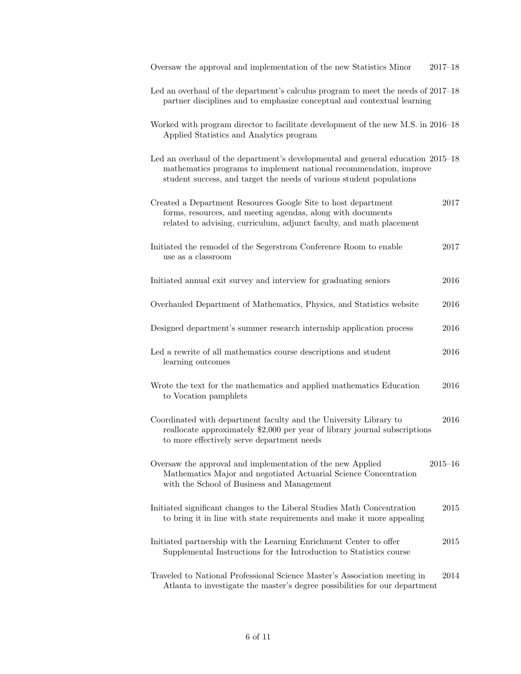| Oversaw the approval and implementation of the new Statistics Minor                                                                                                                                                           | $2017 - 18$ |
|-------------------------------------------------------------------------------------------------------------------------------------------------------------------------------------------------------------------------------|-------------|
| Led an overhaul of the department's calculus program to meet the needs of 2017–18<br>partner disciplines and to emphasize conceptual and contextual learning                                                                  |             |
| Worked with program director to facilitate development of the new M.S. in 2016–18<br>Applied Statistics and Analytics program                                                                                                 |             |
| Led an overhaul of the department's developmental and general education 2015–18<br>mathematics programs to implement national recommendation, improve<br>student success, and target the needs of various student populations |             |
| Created a Department Resources Google Site to host department<br>forms, resources, and meeting agendas, along with documents<br>related to advising, curriculum, adjunct faculty, and math placement                          | 2017        |
| Initiated the remodel of the Segerstrom Conference Room to enable<br>use as a classroom                                                                                                                                       | 2017        |
| Initiated annual exit survey and interview for graduating seniors                                                                                                                                                             | 2016        |
| Overhauled Department of Mathematics, Physics, and Statistics website                                                                                                                                                         | 2016        |
| Designed department's summer research internship application process                                                                                                                                                          | 2016        |
| Led a rewrite of all mathematics course descriptions and student<br>learning outcomes                                                                                                                                         | 2016        |
| Wrote the text for the mathematics and applied mathematics Education<br>to Vocation pamphlets                                                                                                                                 | 2016        |
| Coordinated with department faculty and the University Library to<br>reallocate approximately \$2,000 per year of library journal subscriptions<br>to more effectively serve department needs                                 | 2016        |
| Oversaw the approval and implementation of the new Applied<br>Mathematics Major and negotiated Actuarial Science Concentration<br>with the School of Business and Management                                                  | $2015 - 16$ |
| Initiated significant changes to the Liberal Studies Math Concentration<br>to bring it in line with state requirements and make it more appealing                                                                             | 2015        |
| Initiated partnership with the Learning Enrichment Center to offer<br>Supplemental Instructions for the Introduction to Statistics course                                                                                     | 2015        |
| Traveled to National Professional Science Master's Association meeting in<br>Atlanta to investigate the master's degree possibilities for our department                                                                      | 2014        |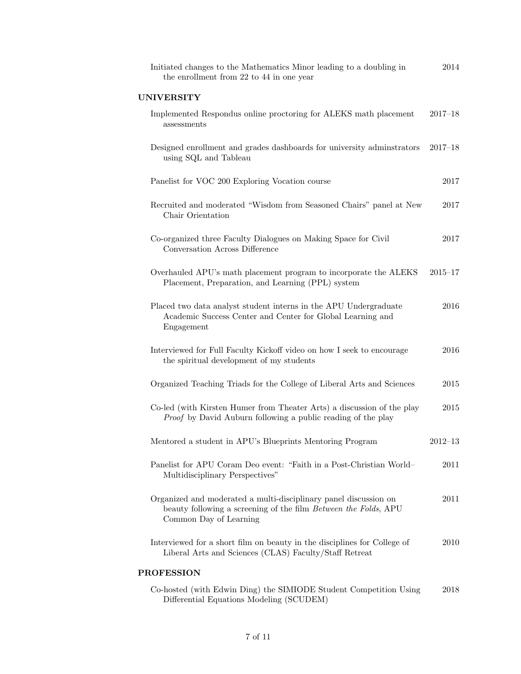| Initiated changes to the Mathematics Minor leading to a doubling in<br>the enrollment from 22 to 44 in one year                                               | 2014        |
|---------------------------------------------------------------------------------------------------------------------------------------------------------------|-------------|
| <b>UNIVERSITY</b>                                                                                                                                             |             |
| Implemented Respondus online proctoring for ALEKS math placement<br>assessments                                                                               | $2017 - 18$ |
| Designed enrollment and grades dashboards for university adminstrators<br>using SQL and Tableau                                                               | $2017 - 18$ |
| Panelist for VOC 200 Exploring Vocation course                                                                                                                | 2017        |
| Recruited and moderated "Wisdom from Seasoned Chairs" panel at New<br>Chair Orientation                                                                       | $2017\,$    |
| Co-organized three Faculty Dialogues on Making Space for Civil<br>Conversation Across Difference                                                              | 2017        |
| Overhauled APU's math placement program to incorporate the ALEKS<br>Placement, Preparation, and Learning (PPL) system                                         | $2015 - 17$ |
| Placed two data analyst student interns in the APU Undergraduate<br>Academic Success Center and Center for Global Learning and<br>Engagement                  | 2016        |
| Interviewed for Full Faculty Kickoff video on how I seek to encourage<br>the spiritual development of my students                                             | 2016        |
| Organized Teaching Triads for the College of Liberal Arts and Sciences                                                                                        | $2015\,$    |
| Co-led (with Kirsten Humer from Theater Arts) a discussion of the play<br><i>Proof</i> by David Auburn following a public reading of the play                 | 2015        |
| Mentored a student in APU's Blueprints Mentoring Program                                                                                                      | $2012 - 13$ |
| Panelist for APU Coram Deo event: "Faith in a Post-Christian World-<br>Multidisciplinary Perspectives"                                                        | 2011        |
| Organized and moderated a multi-disciplinary panel discussion on<br>beauty following a screening of the film Between the Folds, APU<br>Common Day of Learning | 2011        |
| Interviewed for a short film on beauty in the disciplines for College of<br>Liberal Arts and Sciences (CLAS) Faculty/Staff Retreat                            | 2010        |
| <b>PROFESSION</b>                                                                                                                                             |             |
| Co-hosted (with Edwin Ding) the SIMIODE Student Competition Using<br>Differential Equations Modeling (SCUDEM)                                                 | 2018        |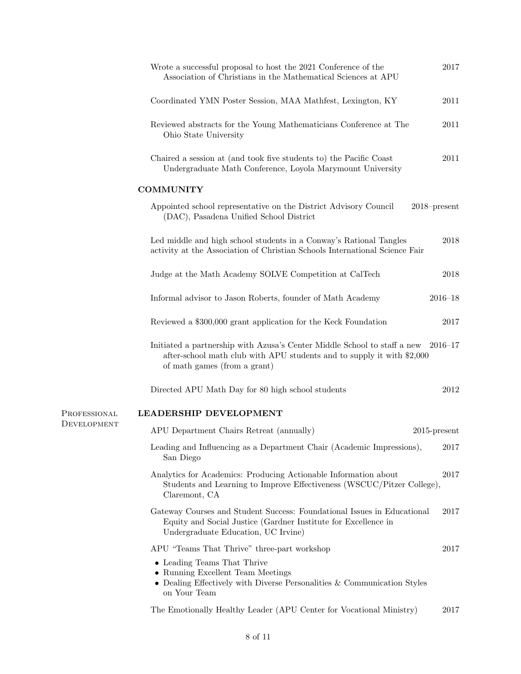|              | Wrote a successful proposal to host the 2021 Conference of the<br>Association of Christians in the Mathematical Sciences at APU                                                            | 2017        |
|--------------|--------------------------------------------------------------------------------------------------------------------------------------------------------------------------------------------|-------------|
|              | Coordinated YMN Poster Session, MAA Mathfest, Lexington, KY                                                                                                                                | 2011        |
|              | Reviewed abstracts for the Young Mathematicians Conference at The<br>Ohio State University                                                                                                 | 2011        |
|              | Chaired a session at (and took five students to) the Pacific Coast<br>Undergraduate Math Conference, Loyola Marymount University                                                           | 2011        |
|              | <b>COMMUNITY</b>                                                                                                                                                                           |             |
|              | Appointed school representative on the District Advisory Council<br>$2018$ -present<br>(DAC), Pasadena Unified School District                                                             |             |
|              | Led middle and high school students in a Conway's Rational Tangles<br>activity at the Association of Christian Schools International Science Fair                                          | 2018        |
|              | Judge at the Math Academy SOLVE Competition at CalTech                                                                                                                                     | 2018        |
|              | Informal advisor to Jason Roberts, founder of Math Academy                                                                                                                                 | $2016 - 18$ |
|              | Reviewed a \$300,000 grant application for the Keck Foundation                                                                                                                             | 2017        |
|              | Initiated a partnership with Azusa's Center Middle School to staff a new 2016–17<br>after-school math club with APU students and to supply it with \$2,000<br>of math games (from a grant) |             |
|              | Directed APU Math Day for 80 high school students                                                                                                                                          | 2012        |
| PROFESSIONAL | LEADERSHIP DEVELOPMENT                                                                                                                                                                     |             |
| DEVELOPMENT  | APU Department Chairs Retreat (annually)<br>$2015$ -present                                                                                                                                |             |
|              | Leading and Influencing as a Department Chair (Academic Impressions),<br>San Diego                                                                                                         | 2017        |
|              | Analytics for Academics: Producing Actionable Information about<br>Students and Learning to Improve Effectiveness (WSCUC/Pitzer College),<br>Claremont, CA                                 | 2017        |
|              | Gateway Courses and Student Success: Foundational Issues in Educational<br>Equity and Social Justice (Gardner Institute for Excellence in<br>Undergraduate Education, UC Irvine)           | 2017        |
|              | APU "Teams That Thrive" three-part workshop                                                                                                                                                | 2017        |
|              | • Leading Teams That Thrive<br>• Running Excellent Team Meetings<br>• Dealing Effectively with Diverse Personalities $&$ Communication Styles<br>on Your Team                              |             |
|              | The Emotionally Healthy Leader (APU Center for Vocational Ministry)                                                                                                                        | 2017        |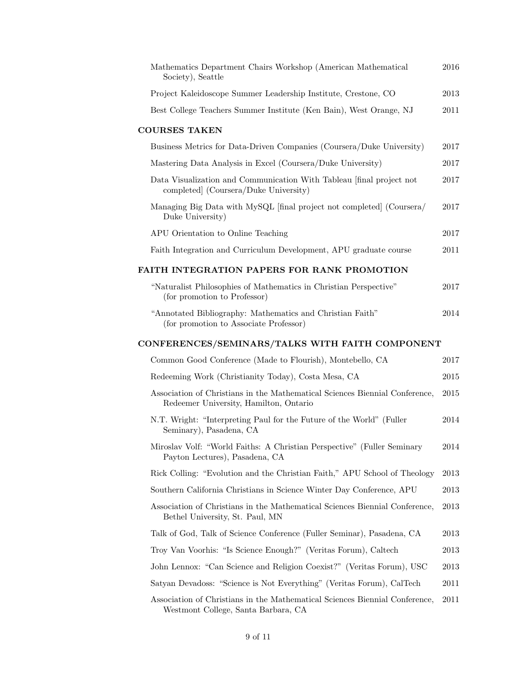| Mathematics Department Chairs Workshop (American Mathematical<br>Society), Seattle                                    | 2016 |
|-----------------------------------------------------------------------------------------------------------------------|------|
| Project Kaleidoscope Summer Leadership Institute, Crestone, CO                                                        | 2013 |
| Best College Teachers Summer Institute (Ken Bain), West Orange, NJ                                                    | 2011 |
| <b>COURSES TAKEN</b>                                                                                                  |      |
| Business Metrics for Data-Driven Companies (Coursera/Duke University)                                                 | 2017 |
| Mastering Data Analysis in Excel (Coursera/Duke University)                                                           | 2017 |
| Data Visualization and Communication With Tableau [final project not<br>completed (Coursera/Duke University)          | 2017 |
| Managing Big Data with MySQL [final project not completed] (Coursera/<br>Duke University)                             | 2017 |
| APU Orientation to Online Teaching                                                                                    | 2017 |
| Faith Integration and Curriculum Development, APU graduate course                                                     | 2011 |
| <b>FAITH INTEGRATION PAPERS FOR RANK PROMOTION</b>                                                                    |      |
| "Naturalist Philosophies of Mathematics in Christian Perspective"<br>(for promotion to Professor)                     | 2017 |
| "Annotated Bibliography: Mathematics and Christian Faith"<br>(for promotion to Associate Professor)                   | 2014 |
| CONFERENCES/SEMINARS/TALKS WITH FAITH COMPONENT                                                                       |      |
| Common Good Conference (Made to Flourish), Montebello, CA                                                             | 2017 |
| Redeeming Work (Christianity Today), Costa Mesa, CA                                                                   | 2015 |
| Association of Christians in the Mathematical Sciences Biennial Conference,<br>Redeemer University, Hamilton, Ontario | 2015 |
| N.T. Wright: "Interpreting Paul for the Future of the World" (Fuller<br>Seminary), Pasadena, CA                       | 2014 |
| Miroslav Volf: "World Faiths: A Christian Perspective" (Fuller Seminary<br>Payton Lectures), Pasadena, CA             | 2014 |
| Rick Colling: "Evolution and the Christian Faith," APU School of Theology                                             | 2013 |
| Southern California Christians in Science Winter Day Conference, APU                                                  | 2013 |
| Association of Christians in the Mathematical Sciences Biennial Conference,<br>Bethel University, St. Paul, MN        | 2013 |
| Talk of God, Talk of Science Conference (Fuller Seminar), Pasadena, CA                                                | 2013 |
| Troy Van Voorhis: "Is Science Enough?" (Veritas Forum), Caltech                                                       | 2013 |
| John Lennox: "Can Science and Religion Coexist?" (Veritas Forum), USC                                                 | 2013 |
| Satyan Devadoss: "Science is Not Everything" (Veritas Forum), CalTech                                                 | 2011 |
| Association of Christians in the Mathematical Sciences Biennial Conference,<br>Westmont College, Santa Barbara, CA    | 2011 |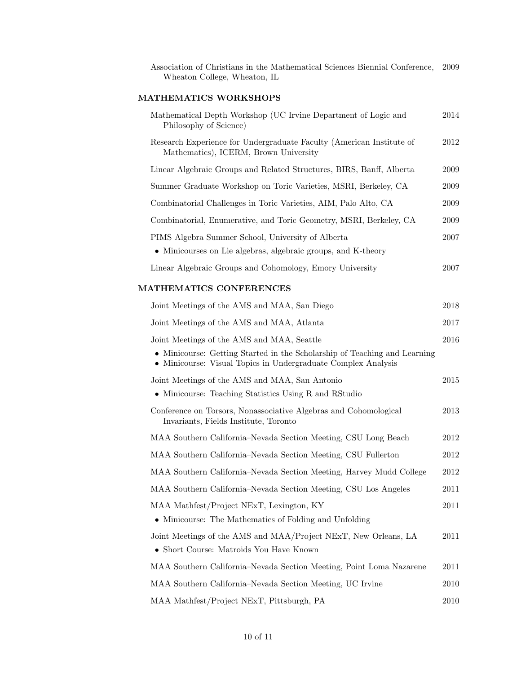Association of Christians in the Mathematical Sciences Biennial Conference, 2009 Wheaton College, Wheaton, IL

## MATHEMATICS WORKSHOPS

| Mathematical Depth Workshop (UC Irvine Department of Logic and<br>Philosophy of Science)                                                   | 2014 |
|--------------------------------------------------------------------------------------------------------------------------------------------|------|
| Research Experience for Undergraduate Faculty (American Institute of<br>Mathematics), ICERM, Brown University                              | 2012 |
| Linear Algebraic Groups and Related Structures, BIRS, Banff, Alberta                                                                       | 2009 |
| Summer Graduate Workshop on Toric Varieties, MSRI, Berkeley, CA                                                                            | 2009 |
| Combinatorial Challenges in Toric Varieties, AIM, Palo Alto, CA                                                                            | 2009 |
| Combinatorial, Enumerative, and Toric Geometry, MSRI, Berkeley, CA                                                                         | 2009 |
| PIMS Algebra Summer School, University of Alberta                                                                                          | 2007 |
| • Minicourses on Lie algebras, algebraic groups, and K-theory                                                                              |      |
| Linear Algebraic Groups and Cohomology, Emory University                                                                                   | 2007 |
| MATHEMATICS CONFERENCES                                                                                                                    |      |
| Joint Meetings of the AMS and MAA, San Diego                                                                                               | 2018 |
| Joint Meetings of the AMS and MAA, Atlanta                                                                                                 | 2017 |
| Joint Meetings of the AMS and MAA, Seattle                                                                                                 | 2016 |
| • Minicourse: Getting Started in the Scholarship of Teaching and Learning<br>• Minicourse: Visual Topics in Undergraduate Complex Analysis |      |
| Joint Meetings of the AMS and MAA, San Antonio                                                                                             | 2015 |
| • Minicourse: Teaching Statistics Using R and RStudio                                                                                      |      |
| Conference on Torsors, Nonassociative Algebras and Cohomological<br>Invariants, Fields Institute, Toronto                                  | 2013 |
| MAA Southern California–Nevada Section Meeting, CSU Long Beach                                                                             | 2012 |
| MAA Southern California–Nevada Section Meeting, CSU Fullerton                                                                              | 2012 |
| MAA Southern California–Nevada Section Meeting, Harvey Mudd College                                                                        | 2012 |
| MAA Southern California–Nevada Section Meeting, CSU Los Angeles                                                                            | 2011 |
| MAA Mathfest/Project NExT, Lexington, KY                                                                                                   | 2011 |
| • Minicourse: The Mathematics of Folding and Unfolding                                                                                     |      |
| Joint Meetings of the AMS and MAA/Project NExT, New Orleans, LA                                                                            | 2011 |
| • Short Course: Matroids You Have Known                                                                                                    |      |
| MAA Southern California–Nevada Section Meeting, Point Loma Nazarene                                                                        | 2011 |
| MAA Southern California–Nevada Section Meeting, UC Irvine                                                                                  | 2010 |
| MAA Mathfest/Project NExT, Pittsburgh, PA                                                                                                  | 2010 |